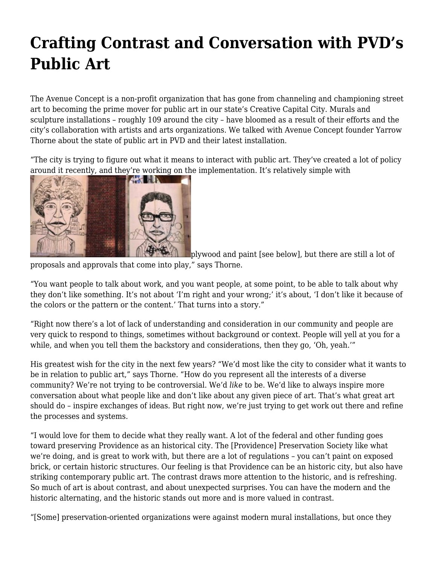## **[Crafting Contrast and Conversation with PVD's](https://motifri.com/publicartii/) [Public Art](https://motifri.com/publicartii/)**

The Avenue Concept is a non-profit organization that has gone from channeling and championing street art to becoming the prime mover for public art in our state's Creative Capital City. Murals and sculpture installations – roughly 109 around the city – have bloomed as a result of their efforts and the city's collaboration with artists and arts organizations. We talked with Avenue Concept founder Yarrow Thorne about the state of public art in PVD and their latest installation.

"The city is trying to figure out what it means to interact with public art. They've created a lot of policy around it recently, and they're working on the implementation. It's relatively simple with



plywood and paint [see below], but there are still a lot of

proposals and approvals that come into play," says Thorne.

"You want people to talk about work, and you want people, at some point, to be able to talk about why they don't like something. It's not about 'I'm right and your wrong;' it's about, 'I don't like it because of the colors or the pattern or the content.' That turns into a story."

"Right now there's a lot of lack of understanding and consideration in our community and people are very quick to respond to things, sometimes without background or context. People will yell at you for a while, and when you tell them the backstory and considerations, then they go, 'Oh, yeah.'"

His greatest wish for the city in the next few years? "We'd most like the city to consider what it wants to be in relation to public art," says Thorne. "How do you represent all the interests of a diverse community? We're not trying to be controversial. We'd *like* to be. We'd like to always inspire more conversation about what people like and don't like about any given piece of art. That's what great art should do – inspire exchanges of ideas. But right now, we're just trying to get work out there and refine the processes and systems.

"I would love for them to decide what they really want. A lot of the federal and other funding goes toward preserving Providence as an historical city. The [Providence] Preservation Society like what we're doing, and is great to work with, but there are a lot of regulations – you can't paint on exposed brick, or certain historic structures. Our feeling is that Providence can be an historic city, but also have striking contemporary public art. The contrast draws more attention to the historic, and is refreshing. So much of art is about contrast, and about unexpected surprises. You can have the modern and the historic alternating, and the historic stands out more and is more valued in contrast.

"[Some] preservation-oriented organizations were against modern mural installations, but once they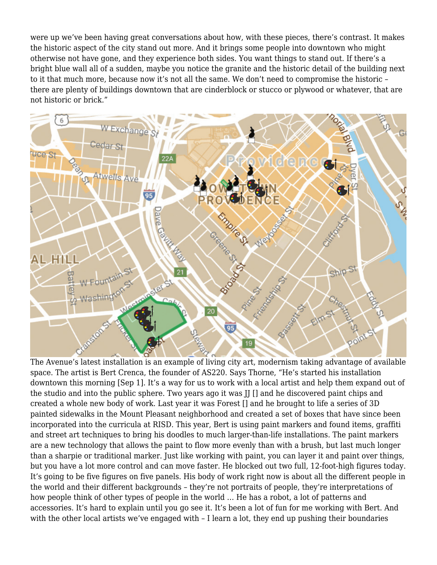were up we've been having great conversations about how, with these pieces, there's contrast. It makes the historic aspect of the city stand out more. And it brings some people into downtown who might otherwise not have gone, and they experience both sides. You want things to stand out. If there's a bright blue wall all of a sudden, maybe you notice the granite and the historic detail of the building next to it that much more, because now it's not all the same. We don't need to compromise the historic – there are plenty of buildings downtown that are cinderblock or stucco or plywood or whatever, that are not historic or brick."



The Avenue's latest installation is an example of living city art, modernism taking advantage of available space. The artist is Bert Crenca, the founder of AS220. Says Thorne, "He's started his installation downtown this morning [Sep 1]. It's a way for us to work with a local artist and help them expand out of the studio and into the public sphere. Two years ago it was II [] and he discovered paint chips and created a whole new body of work. Last year it was Forest [] and he brought to life a series of 3D painted sidewalks in the Mount Pleasant neighborhood and created a set of boxes that have since been incorporated into the curricula at RISD. This year, Bert is using paint markers and found items, graffiti and street art techniques to bring his doodles to much larger-than-life installations. The paint markers are a new technology that allows the paint to flow more evenly than with a brush, but last much longer than a sharpie or traditional marker. Just like working with paint, you can layer it and paint over things, but you have a lot more control and can move faster. He blocked out two full, 12-foot-high figures today. It's going to be five figures on five panels. His body of work right now is about all the different people in the world and their different backgrounds – they're not portraits of people, they're interpretations of how people think of other types of people in the world … He has a robot, a lot of patterns and accessories. It's hard to explain until you go see it. It's been a lot of fun for me working with Bert. And with the other local artists we've engaged with - I learn a lot, they end up pushing their boundaries